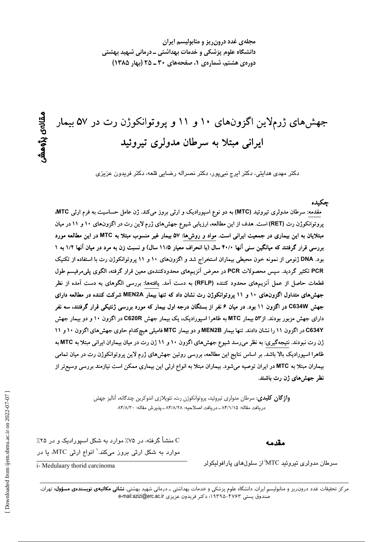مجلهی غدد درون ریز و متابولیسم ایران دانشگاه علوم پزشکی و خدمات بهداشتی ــ درمانی شهید بهشتی دوره یه هشتم، شماره ی ۱، صفحههای ۳۰ ـ ۲۵ (بهار ۱۳۸۵)

# جهشهای ژرملاین اگزونهای ۱۰ و ۱۱ و پروتوانکوژن رت در ۵۷ بیمار ایرانی مبتلا به سرطان مدولری تیروئید

دکتر مهدی هدایتی، دکتر ایرج نبیپور، دکتر نصراله رضایی قلعه، دکتر فریدون عزیزی

#### جكىدە

مقدمه: سرطان مدولری تیروئید (MTC) به دو نوع اسپورادیک و ارثی بروز میکند. ژن عامل حساسیت به فرم ارثی MTC، پروتوانکوژن رت (RET) است. هدف از این مطالعه، ارزیابی شیوع جهش های ژرم لاین رت در اگزونهای ۱۰ و ۱۱ در میان مبتلایان به این بیماری در جمعیت ایرانی است. مواد و روشها: ۵۷ بیمار غیر منسوب مبتلا به MTC در این مطالعه مورد بررسی قرار گرفتند که میانگین سنی آنها ۴۰/۰ سال (با انحراف معیار ۱۱/۵ سال) و نسبت زن به مرد در میان آنها ۱/۲ به ۱ بود. DNA ژنومی از نمونه خون محیطی بیماران استخراج شد و اگزونهای ۱۰ و ۱۱ پروتوانکوژن رت با استفاده از تکنیک PCR تکثیر گردید. سپس محصولات PCR در معرض آنزیمهای محدودکنندهی معین قرار گرفته، الگوی پلی مرفیسم طول قطعات حاصل از عمل آنزیمهای محدود کننده (RFLP) به دست آمد. یافتهها: بررسی الگوهای به دست آمده از نظر جهشهای متداول اگزونهای ۱۰ و ۱۱ پروتوانکوژن رت نشان داد که تنها بیمار MEN2A شرکت کننده در مطالعه دارای جهش C634W در اگزون ۱۱ بود. در میان ۶ نفر از بستگان درجه اول بیمار که مورد بررسی ژنتیکی قرار گرفتند، سه نفر دارای جهش مزبور بودند. از۵۳ بیمار MTC به ظاهرا اسپورادیک، یک بیمار جهش C620R در اگزون ۱۰ و دو بیمار جهش C634Y در اگزون ۱۱ را نشان دادند. تنها بیمار MEN2B و دو بیمار MTC فامیلی هیچکدام حاوی جهشهای اگزون ۱۰ و ۱۱ ژن رت نبودند. نتیجهگیری: به نظر میرسد شیوع جهشهای اگزون ۱۰ و ۱۱ ژن رت در میان بیماران ایرانی مبتلا به MTC به ظاهرا اسپورادیک بالا باشد. بر اساس نتایج این مطالعه، بررسی روتین جهش های ژرم لاین پروتوانکوژن رت در میان تمامی بیماران مبتلا به MTC در ایران توصیه میشود. بیماران مبتلا به انواع ارثی این بیماری ممکن است نیازمند بررسی وسیعتر از نظر جهشهای ژن رت باشند.

> **واژ گان کلیدی**: سرطان مدولری تیروئید، پروتوانکوژن رت، نئوپلازی اندوکرین چندگانه، آنالیز جهش دريافت مقاله: ٨۴/١/١۵ ـ دريافت اصلاحيه: ٨۴/٨/٢٨ ـ پذيرش مقاله: ٨۴/٨/٣٠

> > مقدمه

C منشأ گرفته، در ۷۵٪ موارد به شکل اسپورادیک و در ۲۵٪ موارد به شکل ارثی بروز میکند.<sup>\</sup> انواع ارثی MTC، یا در

سرطان مدولری تیروئید MTC از سلولهای پارافولیکولر

i- Medulaary thorid carcinoma

مرکز تحقیقات غدد درون ریز و متابولیسم ایران، دانشگاه علوم پزشکی و خدمات بهداشتی ــ درمانی شهید بهشتی، **نشانی مکاتبهی نویسندهی مسؤول:** تهران، صندوق يستى ۴۷۶۳-۱۹۳۹۵؛ دكتر فريدون عزيزى e-mail:azizi@erc.ac.ir

ىقالەي يۆوھىتىر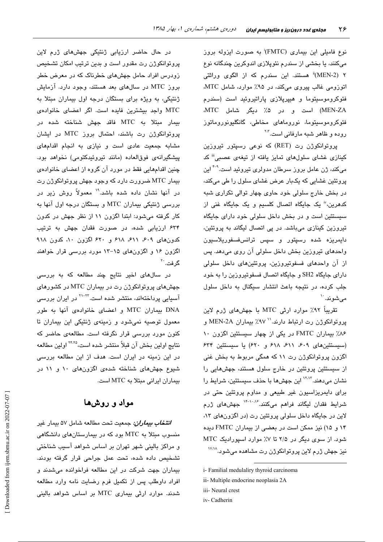نوع فامیلی این بیماری (FMTC) به صورت ایزوله بروز میکنند، یا بخشی از سندرم نئوپلازی اندوکرین چندگانه نوع ۲ (MEN-2)<sup>ii</sup> هستند. این سندرم که از الگوی وراثتی اتوزومی غالب پیروی میکند، در ۹۵٪ موارد، شامل MTC، فئوکروموسیتوما و هیپرپلازی پاراتیروئید است (سندرم MEN-ZA) است و در ۵٪ دیگر شامل MTC. فئوكروموسیتوما، نوروماهای مخاطی، گانگلیونوروماتوز روده و ظاهر شبه مارفانی است.<sup>۲،۳</sup>

پروتوانکوژن رت (RET) که نوعی رسپتور تیروزین کینازی غشای سلولهای تمایز یافته از تیغهی عصبی<sup>اا</sup> کد میکند، ژن عامل بروز سرطان مدولری تیروئید است.<sup>۴-۹</sup> این پروتئین غشایی که یکبار عرض غشای سلول را طی میکند، در بخش خارج سلولی خود حاوی چهار توالی تکراری شبه کدهرین،" یک جایگاه اتصال کلسیم و یک جایگاه غنی از سیستئین است و در بخش داخل سلولی خود دارای جایگاه تیروزین کینازی میباشد. در پی اتصال لیگاند به پروتئین، دايمريزه شده رسپتور و سپس ترانسفسفوريلاسيون واحدهای تیروزین بخش داخل سلولی آن روی میدهد. پس از آن واحدهای فسفوتیروزین، پروتئینهای داخل سلولی دارای جایگاه SH2 و جایگاه اتصال فسفوتیروزین را به خود جلب کرده، در نتیجه باعث انتشار سیگنال به داخل سلول مے شوند. ``

تقریباً ۹۲٪ موارد ارثی MTC با جهشهای ژرم لاین پروتوانكوژن رت ارتباط دارند. `` ٩٧٪ بيماران MEN-2A و ۸۶٪ بیماران FMTC در یکی از چهار سیستئین اگزون ۱۰ (سیستئینهای ۶۰۹، ۶۱۱، ۶۱۸ و ۶۲۰) یا سیستئین ۶۳۴ اگزون پروتوانکوژن رت ۱۱ که همگی مربوط به بخش غنی از سیستئین پروتئین در خارج سلول هستند، جهشهایی را نشان میدهند.<sup>۱۲٬۱۲</sup> این جهشها با حذف سیستئین، شرایط را برای دایمریزاسیون غیر طبیعی و مداوم پروتئین حتی در شرایط فقدان لیگاند فراهم میکنند.<sup>۱٬۰۰۷</sup> جهشهای ژرم لاين در جايگاه داخل سلولي پروتئين رت (در اگزونهاي ١٣، ۱۴ و ۱۵) نیز ممکن است در بعضی از بیماران FMTC دیده شود. از سوی دیگر در ۲/۵ تا ۷٪ موارد اسپورادیک MTC نيز جهش ژرم لاين پروتوانكوژن رت مشاهده مي شود.<sup>۱۷،۱۸</sup>

i- Familial medulaliry thyroid carcinoma

- ii- Multiple endocrine neoplasia 2A
- iii- Neural crest
- iv- Cadherin

در حال حاضر ارزیابی ژنتیکی جهشهای ژرم لاین پروتوانکوژن رت مقدور است و بدین ترتیب امکان تشخیص زودرس افراد حامل جهشهای خطرناک که در معرض خطر بروز MTC در سالهای بعد هستند، وجود دارد. آزمایش ژنتیکی، به ویژه برای بستگان درجه اول بیماران مبتلا به MTC واجد بیشترین فایده است. اگر اعضای خانوادهی بيمار مبتلا به MTC فاقد جهش شناخته شده در پروتوانکوژن رت باشند، احتمال بروز MTC در ایشان مشابه جمعیت عادی است و نیازی به انجام اقدامهای پیشگیرانهی فوقالعاده (مانند تیروئیدکتومی) نخواهد بود. چنین اقدامهایی فقط در مورد آن گروه از اعضای خانوادهی بیمار MTC ضرورت دارد که وجود جهش پروتوانکوژن رت در آنها نشان داده شده باشد." معمولاً روش زیر در بررسی ژنتیکی بیماران MTC و بستگان درجه اول آنها به کار گرفته می شود: ابتدا اگزون ۱۱ از نظر جهش در کدون ۶۳۴ ارزیابی شده، در صورت فقدان جهش به ترتیب کدونهای ۶۰۹، ۶۱۱، ۶۱۸ و ۶۲۰ اگزون ۱۰، کدون ۹۱۸ اگزون ۱۶ و اگزونهای ۱۵–۱۳ مورد بررسی قرار خواهند گرفت.<sup>۲۰</sup>

در سالهای اخیر نتایج چند مطالعه که به بررسی جهشهای پروتوانکوژن رت در بیماران MTC در کشورهای آسیایی پرداختهاند، منتشر شده است.<sup>۲۳-۲۲</sup> در ایران بررس*ی* DNA بیماران MTC و اعضای خانوادهی آنها به طور معمول توصیه نمیشود و زمینه*ی* ژنتیکی این بیماران تا کنون مورد بررسی قرار نگرفته است. مطالعهی حاضر که نتايج اولين بخش آن قبلاً منتشر شده است، <sup>٢۴.٢٥</sup> اولين مطالعه در این زمینه در ایران است. هدف از این مطالعه بررسی شیوع جهشهای شناخته شدهی اگزونهای ۱۰ و ۱۱ در بیماران ایرانی مبتلا به MTC است.

## مواد و روشها

**انتخاب بیم***اران:* **جمعی**ت تحت مطالعه شامل ۵۷ بیمار غیر منسوب میتلا به MTC بود که در بیمارستانهای دانشگاهی و مراکز بالینی شهر تهران بر اساس شواهد آسیب شناختی تشخيص داده شده، تحت عمل جراحى قرار گرفته بودند. بیماران جهت شرکت در این مطالعه فراخوانده میشدند و افراد داوطلب پس از تکمیل فرم رضایت نامه وارد مطالعه شدند. موارد ارثی بیماری MTC بر اساس شواهد بالینی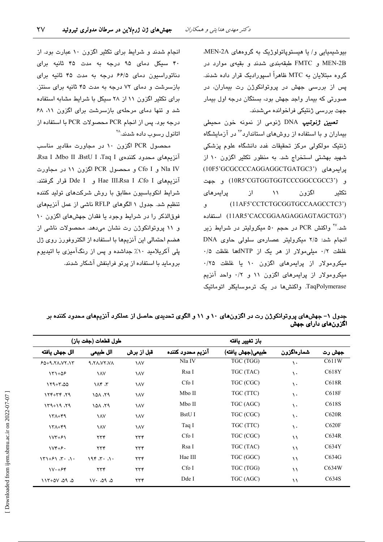بیوشیمیایی و/ یا هیستوپاتولوژیک به گروههای MEN-2A، MEN-2B و FMTC طبقهبندی شدند و بقیهی موارد در گروه مبتلایان به MTC ظاهراً اسپورادیک قرار داده شدند. پس از بررسی جهش در پروتوانکوژن رت بیماران، در صورتی که بیمار واجد جهش بود، بستگان درجه اول بیمار جهت بررسی ژنتیکی فراخوانده میشدند.

**تعیی***ن ژنو***تیپ** DNA ژنومی از نمونه خون محیطی بیماران و با استفاده از روشهای استاندارد<sup>۲۶</sup> در آزمایشگاه ژنتیک مولکولی مرکز تحقیقات غدد دانشگاه علوم پزشکی شهید بهشتی استخراج شد. به منظور تکثیر اگزون ١٠ از يرايمرهاي (10F5'GCGCCCCAGGAGGCTGATGC3') و (10R5'CGTGGTGGTCCCGGCCGCC3') و جهت یرایمرهای  $\mathcal{N}$  $\lambda$ اگزون تكثير (11AF5'CCTCTGCGGTGCCAAGCCTC3') ٯ (11AR5'CACCGGAAGAGGAGTAGCTG3') استفاده شد.<sup>7۷</sup> واکنش PCR در حجم ۵۰ میکرولیتر در شرایط زیر انجام شد: ۲/۵ میکرولیتر عصارهی سلولی حاوی DNA غلظت ۰/۲ مللی مولار از هر یک از dNTPها غلظت ۰/۵ میکرومولار از پرایمرهای اگزون ۱۰ یا غلظت ۲۵/۰ میکرومولار از پرایمرهای اگزون ۱۱ و ۰/۲ واحد آنزیم TaqPolymerase. واکنشها در یک ترموسایکلر اتوماتیک

انجام شدند و شرایط برای تکثیر اگزون ۱۰ عبارت بود. از ۴۰ سیکل دمای ۹۵ درجه به مدت ۴۵ ثانیه برای دناتوراسیون دمای ۶۶/۵ درجه به مدت ۴۵ ثانیه برای بازسرشت و دمای ۷۲ درجه به مدت ۴۵ ثانیه برای سنتز. برای تکثیر اگزون ۱۱ از ۲۸ سیکل با شرایط مشابه استفاده شد و تنها دمای مرحلهی بازسرشت برای اگزون ١١، ٤٨ درجه بود. پس از انجام PCR محصولات PCR با استفاده از اتانول رسوب داده شدند.<sup>۲۸</sup>

محصول PCR اگزون ١٠ در مجاورت مقادير مناسب آنزیمهای محدود کنندهی Rsa I ،Mbo II ،BstU I ،Taq I، Nla IV و Cfo I و محصول PCR اگزون ١١ در مجاورت آنزیمهای Hae III،Rsa I ،Cfo I و Dde I قرار گرفتند. شرایط انکوباسیون مطابق با روش شرکتهای تولید کننده تنظیم شد. جدول ۱ الگوهای RFLP ناشی از عمل آنزیمهای فوقالذکر را در شرایط وجود یا فقدان جهشهای اگزون ۱۰ و ۱۱ پروتوانکوژن رت نشان میدهد. محصولات ناشی از هضم احتمالی این آنزیمها با استفاده از الکتروفورز روی ژل پلی آکریلامید ۱۰٪ جداشده و پس از رنگآمیزی با اتیدیوم بروماید با استفاده از پرتو فرابنفش آشکار شدند.

| جدول ۱– جهشهای پروتوانکوژن رت در اگزونهای ۱۰ و ۱۱ و الگوی تحدیدی حاصل از عملکرد آنزیمهای محدود کننده بر |  |                                    |
|---------------------------------------------------------------------------------------------------------|--|------------------------------------|
|                                                                                                         |  | اگزونها <i>ی</i> دارا <i>ی</i> جهش |

|                                                                                                                 | طول قطعات (جفت باز)   |                |                   | باز تغيير يافته  |               |                    |
|-----------------------------------------------------------------------------------------------------------------|-----------------------|----------------|-------------------|------------------|---------------|--------------------|
| الل جهش يافته                                                                                                   | الل طبيعي             | قبل از برش     | آنزيم محدود كننده | طبيعي(جهش يافته) | شمارەاگزون    | جهش رت             |
| 649.70.07.17                                                                                                    | <b>A.TA.VY.VA</b>     | <b>AV</b>      | Nla IV            | TGC (TGG)        | $\mathcal{L}$ | C611W              |
| $151+05$                                                                                                        | <b>AV</b>             | <b>AV</b>      | Rsa I             | TGC (TAC)        | ١.            | C618Y              |
| $159 + 7.00$                                                                                                    | $\Lambda$ ۴ $\Lambda$ | <b>AV</b>      | Cfo I             | TGC (CGC)        | ١.            | C618R              |
| $15 + 77$                                                                                                       | 101.19                | <b>AV</b>      | Mbo II            | TGC (TTC)        | ١.            | C618F              |
| $159 + 19.79$                                                                                                   | 101.19                | <b>AV</b>      | Mbo II            | TGC (AGC)        | ١٠            | C <sub>618</sub> S |
| $171 + 99$                                                                                                      | <b>AV</b>             | <b>AV</b>      | BstU I            | TGC (CGC)        | ١.            | C620R              |
| $171 + 99$                                                                                                      | <b>AV</b>             | <b>AV</b>      | Taq I             | TGC (TTC)        | ١.            | C620F              |
| $\frac{1}{\sqrt{7}}$                                                                                            | ۲۳۴                   | ۲۳۴            | Cfo I             | TGC (CGC)        | ۱١            | C634R              |
| $Vf + F$                                                                                                        | $\tau\tau\tau$        | $\tau\tau\tau$ | Rsa I             | TGC (TAC)        | $\lambda$     | C634Y              |
| $\mathcal{N}$ $\mathcal{N}$ $\mathcal{N}$ $\mathcal{N}$ $\mathcal{N}$ $\mathcal{N}$ $\mathcal{N}$ $\mathcal{N}$ | 196.74.14             | $\tau\tau\tau$ | Hae III           | TGC (GGC)        | ۱١            | C634G              |
| $V \cdot + F$                                                                                                   | $\tau\tau\tau$        | $\tau\tau\tau$ | $Cf$ o I          | TGC (TGG)        | $\lambda$     | C634W              |
| $0.70 - 00.09$                                                                                                  | $1V \cdot 090$        | ۲۳۴            | Dde I             | TGC (AGC)        | ۱۱            | C634S              |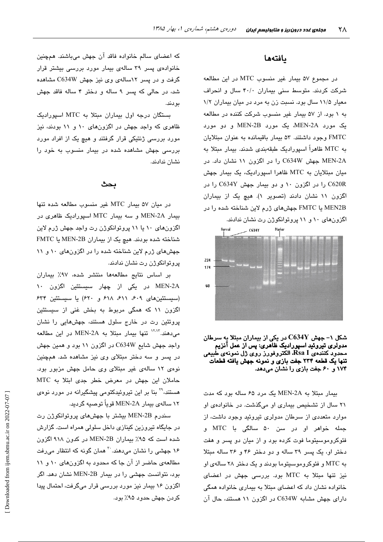#### بافتهها

در مجموع ۵۷ بیمار غیر منسوب MTC در این مطالعه شرکت کردند. متوسط سنی بیماران ۴۰/۰ سال و انحراف معیار ۱۱/۵ سال بود. نسبت زن به مرد در میان بیماران ۱/۲ به ۱ بود. از ۵۷ بیمار غیر منسوب شرکت کننده در مطالعه یک مورد MEN-2A، یک مورد MEN-2B و دو مورد FMTC وجود داشتند. ۵۳ بیمار باقیمانده به عنوان مبتلایان به MTC ظاهراً اسپورادیک طبقهبندی شدند. بیمار مبتلا به MEN-2A جهش C634W را در اگزون ۱۱ نشان داد. در میان میتلایان به MTC ظاهرا اسپورادیک، یک بیمار جهش C620R را در اگزون ۱۰ و دو بیمار جهش C634Y را در اگزون ١١ نشان دادند (تصوير ١). هيچ يک از بيماران MEN2B با FMTC جهشهای ژرم لاین شناخته شده را در



شکل ۱– جهش  ${\rm C634Y}$  در یکی از بیماران مبتلا به سرطان مدولری تیروئید اسپورادیک ظاهری: پس از عمل آنزیم محدّود کنندهی Rsa I، الکتروفورز روی ژل نمونهی طبیعی تنها یک قطعه ۲۳۴ جفت بازی و نمونه جهش یافته قطعات ۱۷۴ و ۶۰ جفت بازی را نشان میدهد.

بیمار مبتلا به MEN-2A یک مرد ۶۵ ساله بود که مدت ٢١ سال از تشخيص بيماري او مي گذشت. در خانوادهي او موارد متعددی از سرطان مدولری تیروئید وجود داشت، از جمله خواهر او در سن ۵۰ سالگی با MTC و فئوکروموسیتوما فوت کرده بود و از میان دو پسر و هفت دختر او، یک پسر ۳۹ ساله و دو دختر ۴۶ و ۳۶ ساله مبتلا به MTC و فئوکروموسیتوما بودند و یک دختر ۲۸ سالهی او نیز تنها مبتلا به MTC بود. بررسی جهش در اعضای خانواده نشان داد که اعضای مبتلا به بیماری خانواده همگی دارای جهش مشابه C634W در اگزون ۱۱ هستند، حال آن

که اعضای سالم خانواده فاقد آن جهش میباشند. همچنین خانوادهی پسر ۳۹ سالهی بیمار مورد بررسی بیشتر قرار گرفت و در پسر ۱۲سالهی وی نیز جهش C634W مشاهده شد، در حالی که پسر ۹ ساله و دختر ۴ ساله فاقد جهش بودند.

بستگان درجه اول بیماران مبتلا به MTC اسپورادیک ظاهری که واجد جهش در اگزونهای ۱۰ و ۱۱ بودند، نیز مورد بررسی ژنتیکی قرار گرفتند و هیچ یک از افراد مورد بررسی جهش مشاهده شده در بیمار منسوب به خود را نشان ندادند.

#### بحث

در ميان ۵۷ بيمار MTC غير منسوب مطالعه شده تنها بیمار MEN-2A و سه بیمار MTC اسپورادیک ظاهری در اگزونهای ۱۰ یا ۱۱ پروتوانکوژن رت واجد جهش ژرم لاین شناخته شده بودند. هیچ یک از بیماران MEN-2B یا FMTC جهشهای ژرم لاین شناخته شده را در اگزونهای ١٠ و ١١ پروتوانکوژن رت نشان ندادند.

بر اساس نتايج مطالعهها منتشر شده، ٩٧٪ بيماران MEN-2A در یکی از چهار سیستئین اگزون ۱۰ (سیستئینهای ۶۰۹، ۶۱۱، ۶۱۸ و ۶۲۰) یا سیستئین ۶۳۴ اگزون ۱۱ که همگی مربوط به بخش غنی از سیستئین پروتئین رت در خارج سلول هستند، جهشهایی را نشان می دهند. <sup>۱۲٬۱۲</sup> تنها بیمار مبتلا به MEN-2A در این مطالعه واجد جهش شایع C634W در اگزون ۱۱ بود و همین جهش در پسر و سه دختر مبتلای وی نیز مشاهده شد. همچنین نوهی ۱۲ سالهی غیر مبتلای وی حامل جهش مزبور بود. حاملان این جهش در معرض خطر جدی ابتلا به MTC هستند،<sup>۲۹</sup> بنا بر این تیروئیدکتومی پیشگیرانه در مورد نوهی ۱۲ سالەي بېمار MEN-2A قوياً توصيە گرديد.

سندرم MEN-2B بیشتر با جهشهای پروتوانکوژن رت در جایگاه تیروزین کینازی داخل سلولی همراه است. گزارش شده است که ۹۵٪ بیماران MEN-2B در کدون ۹۱۸ اگزون ۱۶ جهشی را نشان میدهند. <sup>۳۰</sup> همان گونه که انتظار میرفت مطالعهی حاضر از آن جا که محدود به اگزونهای ١٠ و ١١ بود، نتوانست جهشی را در بیمار MEN-2B نشان دهد. اگر اگزون ۱۶ بیمار نیز مورد بررسی قرار میگرفت، احتمال پیدا کردن جهش حدود ۹۵٪ بود.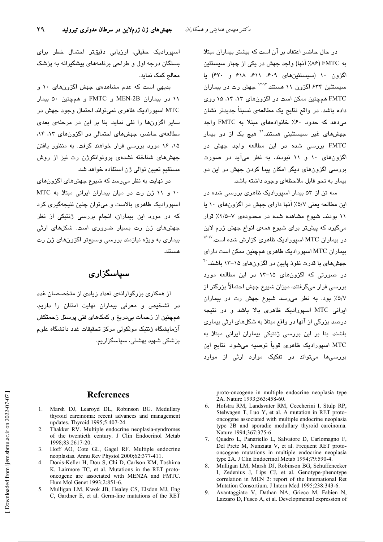در حال حاضر اعتقاد بر آن است که بیشتر بیماران مبتلا به FMTC (۸۶٪ آنها) واجد جهش در یکی از چهار سیستئین اگزون ١٠ (سيستئينهاى ٤٠٩، ٤١١، ٤١٨ و ٤٢٠) يا سیستئین ۶۳۴ اگزون ۱۱ هستند.<sup>۱۲٬۱۲</sup> جهش رت در بیماران FMTC همچنین ممکن است در اگزونهای ۸۳، ۱۴ ۱۵ روی داده باشد. در واقع نتایج یک مطالعهی نسبتاً جدیدتر نشان می دهد که حدود ۶۰٪ خانوادههای مبتلا به FMTC واجد جهشهای غیر سیستئینی هستند.<sup>۳۱</sup> هیچ یک از دو بیمار FMTC بررسی شده در این مطالعه واجد جهش در اگزونهای ۱۰ و ۱۱ نبودند. به نظر میآید در صورت بررسی اگزونهای دیگر امکان پیدا کردن جهش در این دو بیمار به نحو قابل ملاحظهای وجود داشته باشد.

سه تن از ۵۳ بیمار اسپورادیک ظاهری بررسی شده در این مطالعه یعنی ۵/۷٪ آنها دارای جهش در اگزونهای ۱۰ یا ۱۱ بودند. شیوع مشاهده شده در محدودهی ۷–۲/۵٪ قرار میگیرد که پیشتر برای شیوع همهی انواع جهش ژرم لاین در بیماران MTC اسپورادیک ظاهری گزارش شده است.<sup>۱۶٬۱۷</sup> بیماران MTC اسپورادیک ظاهری همچنین ممکن است دارای جهشهای با قدرت نفوذ پایین در اگزونهای ۱۵–۱۳ باشند. <sup>۲۰</sup> در صورتی که اگزونهای ۱۵–۱۳ در این مطالعه مورد بررسی قرار میگرفتند، میزان شیوع جهش احتمالاً پزرگتر از ٥/٧٪ بود. به نظر مى رسد شيوع جهش رت در بيماران ایرانی MTC اسپورادیک ظاهری بالا باشد و در نتیجه درصد بزرگی از آنها در واقع مبتلا به شکلهای ارثی بیماری باشند. بنا بر این بررسی ژنتیکی بیماران ایرانی مبتلا به MTC اسپوراديک ظاهری قوياً توصيه میشود. نتايج اين بررسے،ها مے،تواند در تفکیک موارد ارثے از موارد

اسپورادیک حقیقی، ارزیابی دقیقتر احتمال خطر برای بستگان درجه اول و طراحی برنامههای پیشگیرانه به پزشک معالج كمك نمايد.

بدیهی است که عدم مشاهدهی جهش اگزونهای ۱۰ و ۱۱ در بیماران MEN-2B و FMTC و همچنین ۵۰ بیمار MTC اسپورادیک ظاهری نمیتواند احتمال وجود جهش در سایر اگزونها را نفی نماید. بنا بر این در مرحلهی بعدی مطالعهی حاضر، جهشهای احتمالی در اگزونهای ١٣، ١٣، ۱۵، ۱۶ مورد بررسی قرار خواهند گرفت. به منظور یافتن جهشهای شناخته نشدهی پروتوانکوژن رت نیز از روش مستقیم تعیین توالی ژن استفاده خواهد شد.

در نهایت به نظر میرسد که شیوع جهشهای اگزونهای ١٠ و ١١ ژن رت در ميان بيماران ايراني مبتلا به MTC اسپورادیک ظاهری بالاست و میتوان چنین نتیجهگیری کرد که در مورد این بیماران، انجام بررس*ی* ژنتیکی از نظر جهشهای ژن رت بسیار ضروری است. شکلهای ارثی بیماری به ویژه نیازمند بررسی وسیعتر اگزونهای ژن رت مستند.

### سیاسگزاری

از همکاری بزرگوارانهی تعداد زیادی از متخصصان غدد در تشخیص و معرفی بیماران نهایت امتنان را داریم. همچنین از زحمات بیدریغ و کمکهای فنی پرسنل زحمتکش آزمايشگاه ژنتيک مولکولی مرکز تحقيقات غدد دانشگاه علوم پزشکی شهید بهشتی، سپاسگزاریم.

#### **References**

- 1. Marsh DJ, Learoyd DL, Robinson BG. Medullary thyroid carcinoma: recent advances and management updates. Thyroid 1995;5:407-24.
- $\mathcal{D}$ Thakker RV. Multiple endocrine neoplasia-syndromes of the twentieth century. J Clin Endocrinol Metab 1998;83:2617-20.
- 3. Hoff AO, Cote GL, Gagel RF. Multiple endocrine neoplasias. Annu Rev Physiol 2000;62:377-411.
- Donis-Keller H, Dou S, Chi D, Carlson KM, Toshima  $\overline{4}$ K, Lairmore TC, et al. Mutations in the RET protooncogene are associated with MEN2A and FMTC. Hum Mol Genet 1993;2:851-6.
- 5. Mulligan LM, Kwok JB, Healey CS, Elsdon MJ, Eng C, Gardner E, et al. Germ-line mutations of the RET

proto-oncogene in multiple endocrine neoplasia type 2A. Nature 1993;363:458-60.

- 6. Hofstra RM, Landsvater RM, Ceccherini I, Stulp RP, Stelwagen T, Luo Y, et al. A mutation in RET protooncogene associated with multiple endocrine neoplasia type 2B and sporadic medullary thyroid carcinoma. Nature 1994;367:375-6.
- Quadro L, Panariello L, Salvatore D, Carlomagno F,  $7^{\circ}$ Del Prete M, Nunziata V, et al. Frequent RET protooncogene mutations in multiple endocrine neoplasia type 2A. J Clin Endocrinol Metab 1994;79:590-4.
- 8. Mulligan LM, Marsh DJ, Robinson BG, Schuffenecker I, Zedenius J, Lips CJ, et al. Genotype-phenotype correlation in MEN 2: report of the International Ret Mutation Consortium. J Intern Med 1995;238:343-6.
- 9. Avantaggiato V, Dathan NA, Grieco M, Fabien N, Lazzaro D, Fusco A, et al. Developmental expression of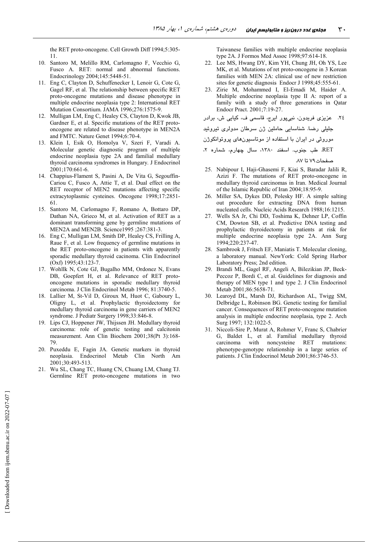the RET proto-oncogene. Cell Growth Diff 1994;5:305-11

- 10. Santoro M, Melillo RM, Carlomagno F, Vecchio G, Fusco A. RET: normal and abnormal functions. Endocrinology 2004;145:5448-51.
- 11. Eng C, Clayton D, Schuffenecker I, Lenoir G, Cote G, Gagel RF, et al. The relationship between specific RET proto-oncogene mutations and disease phenotype in multiple endocrine neoplasia type 2: International RET Mutation Consortium. JAMA 1996;276:1575-9.
- 12. Mulligan LM, Eng C, Healey CS, Clayton D, Kwok JB, Gardner E, et al. Specific mutations of the RET protooncogene are related to disease phenotype in MEN2A and FMTC. Nature Genet 1994;6:70-4.
- 13. Klein I, Esik O, Homolya V, Szeri F, Varadi A. Molecular genetic diagnostic program of multiple endocrine neoplasia type 2A and familial medullary thyroid carcinoma syndromes in Hungary. J Endocrinol  $2001:170:661-6$
- 14. Chappius-Flament S, Pasini A, De Vita G, Segouffin-Cariou C, Fusco A, Attie T, et al. Dual effect on the RET receptor of MEN2 mutations affecting specific extracytoplasmic cysteines. Oncogene 1998;17:2851-61
- 15. Santoro M, Carlomagno F, Romano A, Bottaro DP, Dathan NA, Grieco M, et al. Activation of RET as a dominant transforming gene by germline mutations of MEN2A and MEN2B. Science1995 ;267:381-3.
- 16. Eng C, Mulligan LM, Smith DP, Healey CS, Frilling A, Raue F, et al. Low frequency of germline mutations in the RET proto-oncogene in patients with apparently sporadic medullary thyroid cacinoma. Clin Endocrinol (Oxf) 1995;43:123-7.
- 17. Wohllk N, Cote GJ, Bugalho MM, Ordonez N, Evans DB, Goepfert H, et al. Relevance of RET protooncogene mutations in sporadic medullary thyroid carcinoma. J Clin Endocrinol Metab 1996; 81:3740-5.
- 18. Lallier M, St-Vil D, Giroux M, Huot C, Gaboury L, Oligny L, et al. Prophylactic thyroidectomy for medullary thyroid carcinoma in gene carriers of MEN2 syndrome. J Pediatr Surgery 1998;33:846-8.
- 19. Lips CJ, Hoppener JW, Thijssen JH. Medullary thyroid carcinoma: role of genetic testing and calcitonin measurement. Ann Clin Biochem 2001;38(Pt 3):168-79
- 20. Puxeddu E, Fagin JA. Genetic markers in thyroid neoplasia. Endocrinol Metab Clin North Am 2001;30:493-513.
- 21. Wu SL, Chang TC, Huang CN, Chuang LM, Chang TJ. Germline RET proto-oncogene mutations in two

Taiwanese families with multiple endocrine neoplasia type 2A. J Formos Med Assoc 1998;97:614-18.

- 22. Lee MS, Hwang DY, Kim YH, Chung JH, Oh YS, Lee MK, et al. Mutations of ret proto-oncogene in 3 Korean families with MEN 2A: clinical use of new restriction sites for genetic diagnosis Endocr J 1998;45:555-61.
- 23. Zirie M, Mohammed I, El-Emadi M, Haider A. Multiple endocrine neoplasia type II A: report of a family with a study of three generations in Qatar Endocr Pract. 2001;7:19-27.

```
۲٤. عزیزی فریدون، نبیپور ایرج، قاسمی ف، کیایی ش، برادر
```
جلیلی رضا. شناسایی حاملین ژن سرطان مدولری تیروئید

```
موروثی در ایران با استفاده از موتاسیونهای پروتوانکوژن
```
- 25. Nabipour I, Haji-Ghasemi F, Kiai S, Baradar Jalili R, Azizi F. The mutations of RET proto-oncogene in medullary thyroid carcinomas in Iran. Medical Journal of the Islamic Republic of Iran 2004;18:95-9.
- 26. Miller SA, Dykes DD, Polesky HF. A simple salting out procedure for extracting DNA from human nucleated cells. Nucleic Acids Research 1988;16:1215.
- 27. Wells SA Jr, Chi DD, Toshima K, Dehner LP, Coffin CM, Dowton SB, et al. Predictive DNA testing and prophylactic thyroidectomy in patients at risk for multiple endocrine neoplasia type 2A. Ann Surg 1994;220:237-47.
- 28. Sambrook J, Fritsch EF, Maniatis T. Molecular cloning, a laboratory manual. NewYork: Cold Spring Harbor Laboratory Press; 2nd edition.
- 29. Brandi ML, Gagel RF, Angeli A, Bilezikian JP, Beck-Peccoz P, Bordi C, et al. Guidelines for diagnosis and therapy of MEN type 1 and type 2. J Clin Endocrinol Metab 2001;86:5658-71.
- 30. Learoyd DL, Marsh DJ, Richardson AL, Twigg SM, Delbridge L, Robinson BG. Genetic testing for familial cancer. Consequences of RET proto-oncogene mutation analysis in multiple endocrine neoplasia, type 2. Arch Surg 1997; 132:1022-5.
- 31. Niccoli-Sire P, Murat A, Rohmer V, Franc S, Chabrier G, Baldet L, et al. Familial medullary thyroid noncysteine RET mutations: carcinoma with phenotype-genotype relationship in a large series of patients. J Clin Endocrinol Metab 2001;86:3746-53.